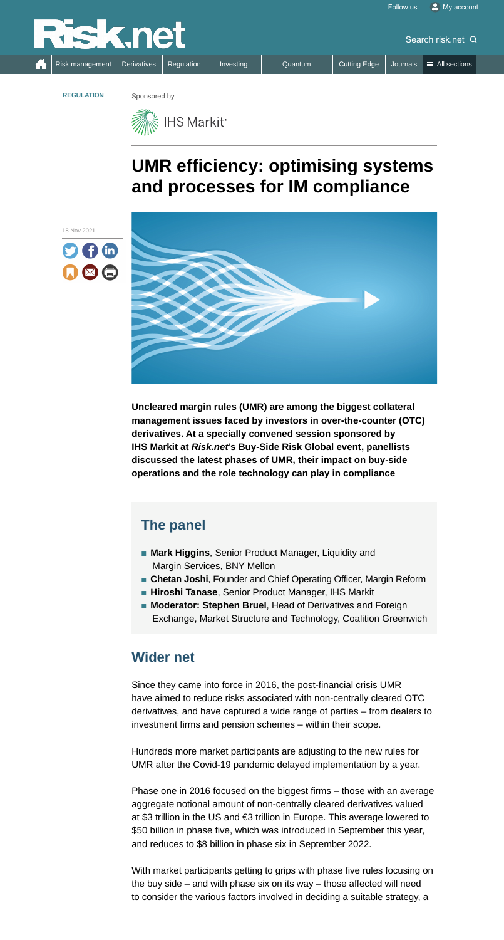# **UMR efficiency: optimising systems and processes for IM compliance**

**Uncleared margin rules (UMR) are among the biggest collateral management issues faced by investors in over-the-counter (OTC) derivatives. At a specially convened session sponsored by IHS Markit at** *Risk.net***'s Buy-Side Risk Global event, panellists discussed the latest phases of UMR, their impact on buy-side operations and the role technology can play in compliance**

#### **Wider net**

Since they came into force in 2016, the post-financial crisis UMR have aimed to reduce risks associated with non-centrally cleared OTC derivatives, and have captured a wide range of parties – from dealers to investment firms and pension schemes – within their scope.

Hundreds more market participants are adjusting to the new rules for UMR after the Covid-19 pandemic delayed implementation by a year.

- Mark Higgins, Senior Product Manager, Liquidity and Margin Services, BNY Mellon
- 
- **Chetan Joshi**, Founder and Chief Operating Officer, Margin Reform
- Hiroshi Tanase, Senior Product Manager, IHS Markit
- **Moderator: Stephen Bruel**, Head of Derivatives and Foreign Exchange, Market Structure and Technology, Coalition Greenwich

Phase one in 2016 focused on the biggest firms – those with an average aggregate notional amount of non-centrally cleared derivatives valued at \$3 trillion in the US and €3 trillion in Europe. This average lowered to \$50 billion in phase five, which was introduced in September this year, and reduces to \$8 billion in phase six in September 2022.

With market participants getting to grips with phase five rules focusing on the buy side – and with phase six on its way – those affected will need to consider the various factors involved in deciding a suitable strategy, a





**REGULATION** Sponsored by



## **The panel**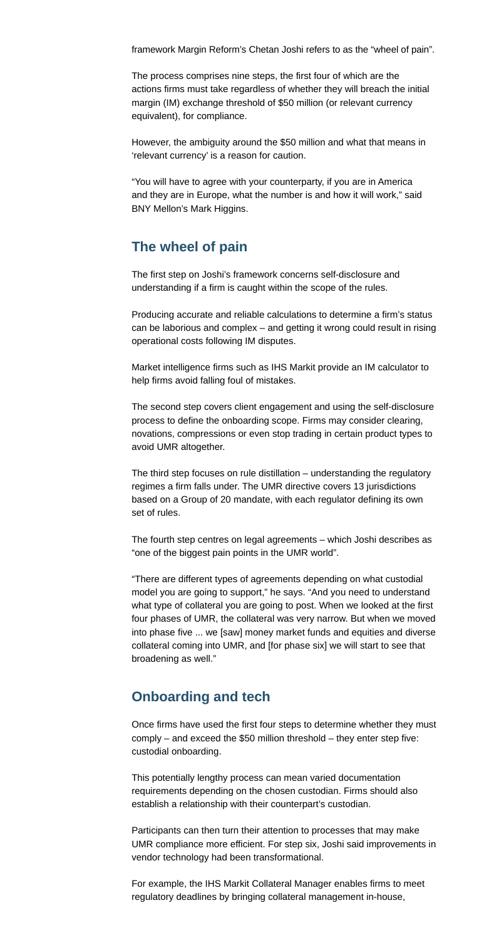framework Margin Reform's Chetan Joshi refers to as the "wheel of pain".

The process comprises nine steps, the first four of which are the actions firms must take regardless of whether they will breach the initial margin (IM) exchange threshold of \$50 million (or relevant currency equivalent), for compliance.

However, the ambiguity around the \$50 million and what that means in 'relevant currency' is a reason for caution.

"You will have to agree with your counterparty, if you are in America and they are in Europe, what the number is and how it will work," said BNY Mellon's Mark Higgins.

#### **The wheel of pain**

The first step on Joshi's framework concerns self-disclosure and understanding if a firm is caught within the scope of the rules.

Producing accurate and reliable calculations to determine a firm's status can be laborious and complex – and getting it wrong could result in rising operational costs following IM disputes.

Market intelligence firms such as IHS Markit provide an IM calculator to help firms avoid falling foul of mistakes.

The second step covers client engagement and using the self-disclosure process to define the onboarding scope. Firms may consider clearing, novations, compressions or even stop trading in certain product types to avoid UMR altogether.

The third step focuses on rule distillation – understanding the regulatory regimes a firm falls under. The UMR directive covers 13 jurisdictions based on a Group of 20 mandate, with each regulator defining its own set of rules.

The fourth step centres on legal agreements – which Joshi describes as "one of the biggest pain points in the UMR world".

"There are different types of agreements depending on what custodial model you are going to support," he says. "And you need to understand what type of collateral you are going to post. When we looked at the first four phases of UMR, the collateral was very narrow. But when we moved into phase five ... we [saw] money market funds and equities and diverse collateral coming into UMR, and [for phase six] we will start to see that broadening as well."

#### **Onboarding and tech**

Once firms have used the first four steps to determine whether they must comply – and exceed the \$50 million threshold – they enter step five: custodial onboarding.

This potentially lengthy process can mean varied documentation requirements depending on the chosen custodian. Firms should also establish a relationship with their counterpart's custodian.

Participants can then turn their attention to processes that may make UMR compliance more efficient. For step six, Joshi said improvements in vendor technology had been transformational.

For example, the IHS Markit Collateral Manager enables firms to meet regulatory deadlines by bringing collateral management in-house,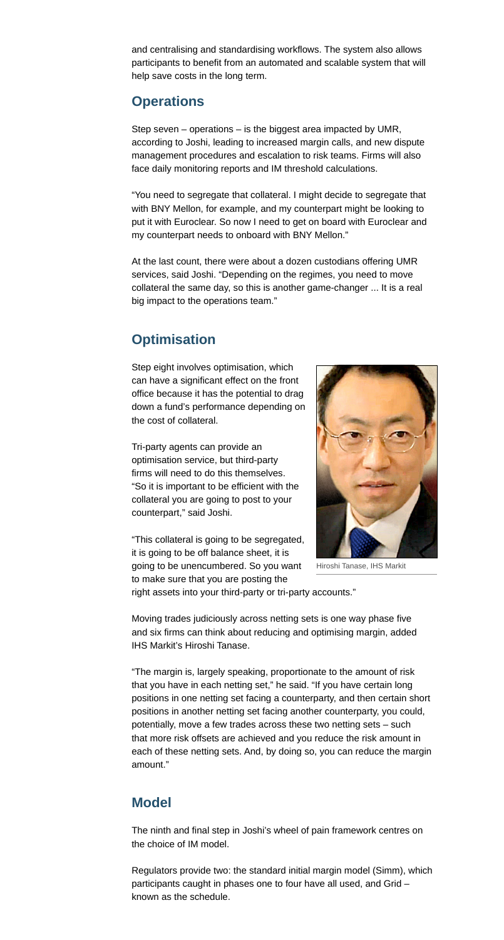and centralising and standardising workflows. The system also allows participants to benefit from an automated and scalable system that will help save costs in the long term.

## **Operations**

Step seven – operations – is the biggest area impacted by UMR, according to Joshi, leading to increased margin calls, and new dispute management procedures and escalation to risk teams. Firms will also face daily monitoring reports and IM threshold calculations.

"You need to segregate that collateral. I might decide to segregate that with BNY Mellon, for example, and my counterpart might be looking to put it with Euroclear. So now I need to get on board with Euroclear and my counterpart needs to onboard with BNY Mellon."

At the last count, there were about a dozen custodians offering UMR services, said Joshi. "Depending on the regimes, you need to move collateral the same day, so this is another game-changer ... It is a real big impact to the operations team."

## **Optimisation**

Step eight involves optimisation, which can have a significant effect on the front office because it has the potential to drag down a fund's performance depending on the cost of collateral.

Tri-party agents can provide an optimisation service, but third-party firms will need to do this themselves. "So it is important to be efficient with the collateral you are going to post to your counterpart," said Joshi.

"This collateral is going to be segregated, it is going to be off balance sheet, it is going to be unencumbered. So you want to make sure that you are posting the right assets into your third-party or tri-party accounts."

Moving trades judiciously across netting sets is one way phase five and six firms can think about reducing and optimising margin, added IHS Markit's Hiroshi Tanase.

"The margin is, largely speaking, proportionate to the amount of risk that you have in each netting set," he said. "If you have certain long positions in one netting set facing a counterparty, and then certain short positions in another netting set facing another counterparty, you could, potentially, move a few trades across these two netting sets – such that more risk offsets are achieved and you reduce the risk amount in each of these netting sets. And, by doing so, you can reduce the margin amount."

### **Model**

The ninth and final step in Joshi's wheel of pain framework centres on the choice of IM model.

Regulators provide two: the standard initial margin model (Simm), which participants caught in phases one to four have all used, and Grid – known as the schedule.



Hiroshi Tanase, IHS Markit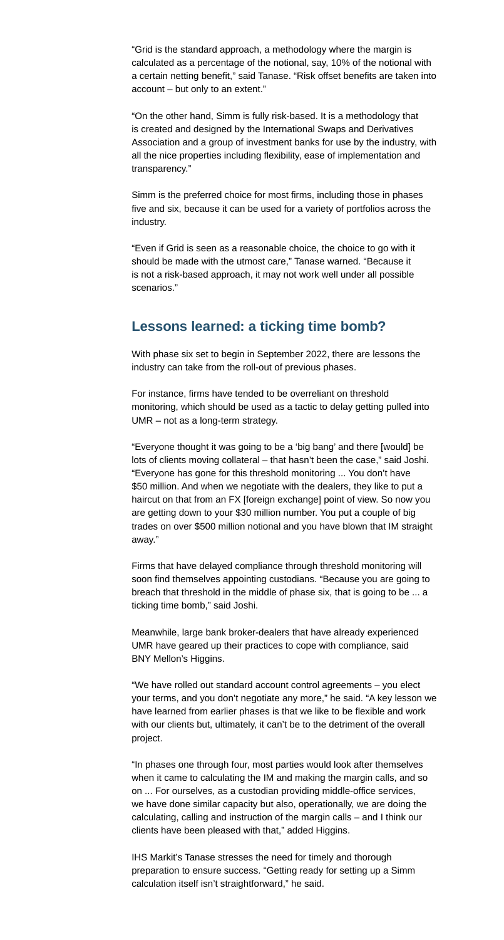"Grid is the standard approach, a methodology where the margin is calculated as a percentage of the notional, say, 10% of the notional with a certain netting benefit," said Tanase. "Risk offset benefits are taken into account – but only to an extent."

"On the other hand, Simm is fully risk-based. It is a methodology that is created and designed by the International Swaps and Derivatives Association and a group of investment banks for use by the industry, with all the nice properties including flexibility, ease of implementation and transparency."

Simm is the preferred choice for most firms, including those in phases five and six, because it can be used for a variety of portfolios across the industry.

"Even if Grid is seen as a reasonable choice, the choice to go with it should be made with the utmost care," Tanase warned. "Because it is not a risk-based approach, it may not work well under all possible scenarios."

#### **Lessons learned: a ticking time bomb?**

With phase six set to begin in September 2022, there are lessons the industry can take from the roll-out of previous phases.

For instance, firms have tended to be overreliant on threshold monitoring, which should be used as a tactic to delay getting pulled into UMR – not as a long-term strategy.

"Everyone thought it was going to be a 'big bang' and there [would] be lots of clients moving collateral – that hasn't been the case," said Joshi. "Everyone has gone for this threshold monitoring ... You don't have \$50 million. And when we negotiate with the dealers, they like to put a haircut on that from an FX [foreign exchange] point of view. So now you are getting down to your \$30 million number. You put a couple of big trades on over \$500 million notional and you have blown that IM straight away."

Firms that have delayed compliance through threshold monitoring will soon find themselves appointing custodians. "Because you are going to breach that threshold in the middle of phase six, that is going to be ... a ticking time bomb," said Joshi.

Meanwhile, large bank broker-dealers that have already experienced UMR have geared up their practices to cope with compliance, said BNY Mellon's Higgins.

"We have rolled out standard account control agreements – you elect your terms, and you don't negotiate any more," he said. "A key lesson we have learned from earlier phases is that we like to be flexible and work with our clients but, ultimately, it can't be to the detriment of the overall project.

"In phases one through four, most parties would look after themselves when it came to calculating the IM and making the margin calls, and so on ... For ourselves, as a custodian providing middle-office services, we have done similar capacity but also, operationally, we are doing the calculating, calling and instruction of the margin calls – and I think our clients have been pleased with that," added Higgins.

IHS Markit's Tanase stresses the need for timely and thorough preparation to ensure success. "Getting ready for setting up a Simm calculation itself isn't straightforward," he said.